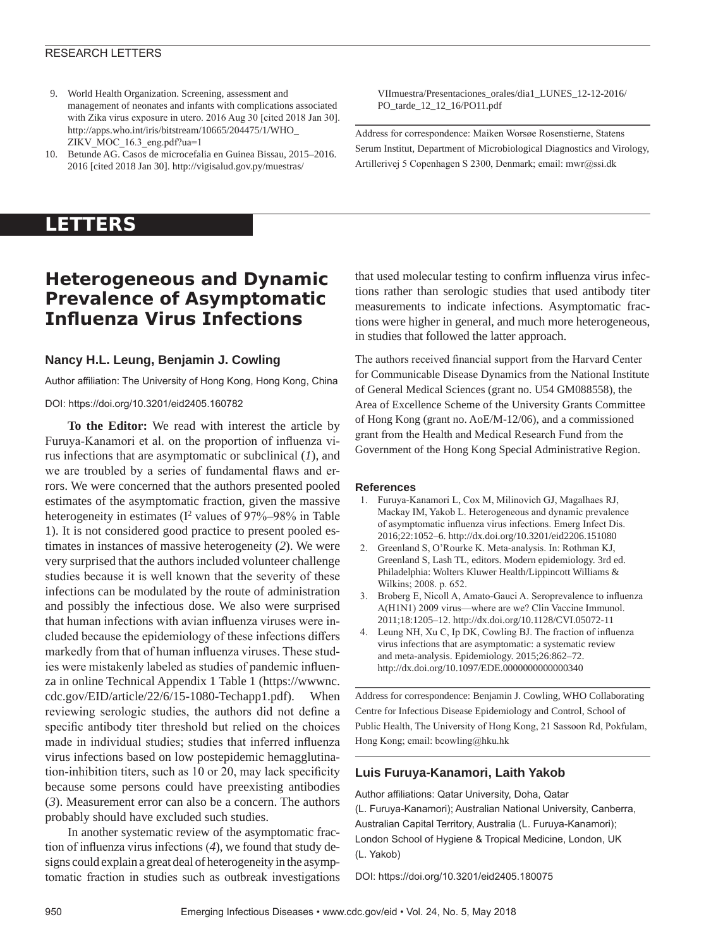## RESEARCH LETTERS

- 9. World Health Organization. Screening, assessment and management of neonates and infants with complications associated with Zika virus exposure in utero. 2016 Aug 30 [cited 2018 Jan 30]. http://apps.who.int/iris/bitstream/10665/204475/1/WHO\_ ZIKV\_MOC\_16.3\_eng.pdf?ua=1
- 10. Betunde AG. Casos de microcefalia en Guinea Bissau, 2015–2016. 2016 [cited 2018 Jan 30]. http://vigisalud.gov.py/muestras/

VIImuestra/Presentaciones\_orales/dia1\_LUNES\_12-12-2016/ PO\_tarde\_12\_12\_16/PO11.pdf

Address for correspondence: Maiken Worsøe Rosenstierne, Statens Serum Institut, Department of Microbiological Diagnostics and Virology, Artillerivej 5 Copenhagen S 2300, Denmark; email: mwr@ssi.dk

# **LETTERS**

# **Heterogeneous and Dynamic Prevalence of Asymptomatic Influenza Virus Infections**

## **Nancy H.L. Leung, Benjamin J. Cowling**

Author affiliation: The University of Hong Kong, Hong Kong, China

## DOI: https://doi.org/10.3201/eid2405.160782

**To the Editor:** We read with interest the article by Furuya-Kanamori et al. on the proportion of influenza virus infections that are asymptomatic or subclinical (*1*), and we are troubled by a series of fundamental flaws and errors. We were concerned that the authors presented pooled estimates of the asymptomatic fraction, given the massive heterogeneity in estimates (I<sup>2</sup> values of 97%–98% in Table 1). It is not considered good practice to present pooled estimates in instances of massive heterogeneity (*2*). We were very surprised that the authors included volunteer challenge studies because it is well known that the severity of these infections can be modulated by the route of administration and possibly the infectious dose. We also were surprised that human infections with avian influenza viruses were included because the epidemiology of these infections differs markedly from that of human influenza viruses. These studies were mistakenly labeled as studies of pandemic influenza in online Technical Appendix 1 Table 1 (https://wwwnc. cdc.gov/EID/article/22/6/15-1080-Techapp1.pdf). When reviewing serologic studies, the authors did not define a specific antibody titer threshold but relied on the choices made in individual studies; studies that inferred influenza virus infections based on low postepidemic hemagglutination-inhibition titers, such as 10 or 20, may lack specificity because some persons could have preexisting antibodies (*3*). Measurement error can also be a concern. The authors probably should have excluded such studies.

In another systematic review of the asymptomatic fraction of influenza virus infections (*4*), we found that study designs could explain a great deal of heterogeneity in the asymptomatic fraction in studies such as outbreak investigations

that used molecular testing to confirm influenza virus infections rather than serologic studies that used antibody titer measurements to indicate infections. Asymptomatic fractions were higher in general, and much more heterogeneous, in studies that followed the latter approach.

The authors received financial support from the Harvard Center for Communicable Disease Dynamics from the National Institute of General Medical Sciences (grant no. U54 GM088558), the Area of Excellence Scheme of the University Grants Committee of Hong Kong (grant no. AoE/M-12/06), and a commissioned grant from the Health and Medical Research Fund from the Government of the Hong Kong Special Administrative Region.

### **References**

- 1. Furuya-Kanamori L, Cox M, Milinovich GJ, Magalhaes RJ, Mackay IM, Yakob L. Heterogeneous and dynamic prevalence of asymptomatic influenza virus infections. Emerg Infect Dis. 2016;22:1052–6. http://dx.doi.org/10.3201/eid2206.151080
- 2. Greenland S, O'Rourke K. Meta-analysis. In: Rothman KJ, Greenland S, Lash TL, editors. Modern epidemiology. 3rd ed. Philadelphia: Wolters Kluwer Health/Lippincott Williams & Wilkins; 2008. p. 652.
- 3. Broberg E, Nicoll A, Amato-Gauci A. Seroprevalence to influenza A(H1N1) 2009 virus—where are we? Clin Vaccine Immunol. 2011;18:1205–12. http://dx.doi.org/10.1128/CVI.05072-11
- 4. Leung NH, Xu C, Ip DK, Cowling BJ. The fraction of influenza virus infections that are asymptomatic: a systematic review and meta-analysis. Epidemiology. 2015;26:862–72. http://dx.doi.org/10.1097/EDE.0000000000000340

Address for correspondence: Benjamin J. Cowling, WHO Collaborating Centre for Infectious Disease Epidemiology and Control, School of Public Health, The University of Hong Kong, 21 Sassoon Rd, Pokfulam, Hong Kong; email: bcowling@hku.hk

## **Luis Furuya-Kanamori, Laith Yakob**

Author affiliations: Qatar University, Doha, Qatar (L. Furuya-Kanamori); Australian National University, Canberra, Australian Capital Territory, Australia (L. Furuya-Kanamori); London School of Hygiene & Tropical Medicine, London, UK (L. Yakob)

DOI: https://doi.org/10.3201/eid2405.180075